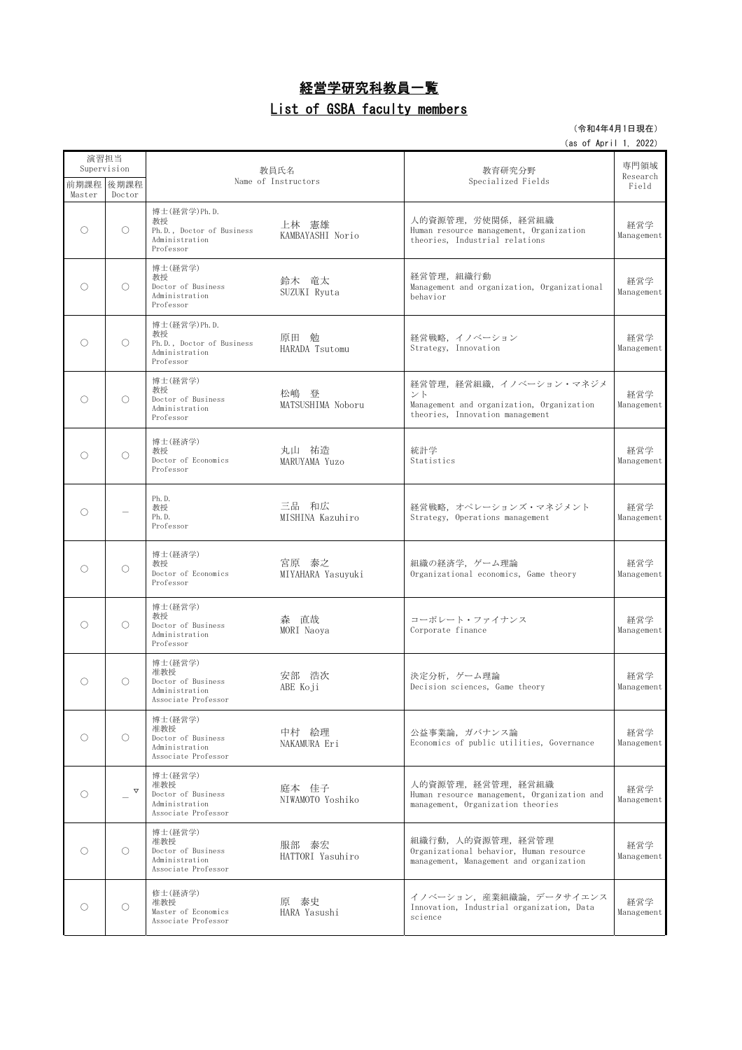## 経営学研究科教員一覧 List of GSBA faculty members

## (令和4年4月1日現在)

| 演習担当<br>Supervision |                       |                                                                                   |                            |                                                                                                              | 専門領域              |
|---------------------|-----------------------|-----------------------------------------------------------------------------------|----------------------------|--------------------------------------------------------------------------------------------------------------|-------------------|
| Master              | 前期課程   後期課程<br>Doctor | 教員氏名<br>Name of Instructors                                                       |                            | 教育研究分野<br>Specialized Fields                                                                                 | Research<br>Field |
| O                   | $\bigcirc$            | 博士 (経営学) Ph. D.<br>教授<br>Ph.D., Doctor of Business<br>Administration<br>Professor | 上林 憲雄<br>KAMBAYASHI Norio  | 人的資源管理,労使関係,経営組織<br>Human resource management, Organization<br>theories, Industrial relations                | 経営学<br>Management |
| ∩                   | $\bigcirc$            | 博士(経営学)<br>教授<br>Doctor of Business<br>Administration<br>Professor                | 鈴木 竜太<br>SUZUKI Ryuta      | 経営管理, 組織行動<br>Management and organization, Organizational<br>behavior                                        | 経営学<br>Management |
| ∩                   | $\bigcirc$            | 博士 (経営学) Ph. D.<br>教授<br>Ph.D., Doctor of Business<br>Administration<br>Professor | 原田 勉<br>HARADA Tsutomu     | 経営戦略、イノベーション<br>Strategy, Innovation                                                                         | 経営学<br>Management |
| ∩                   | $\bigcirc$            | 博士(経営学)<br>教授<br>Doctor of Business<br>Administration<br>Professor                | 松嶋 登<br>MATSUSHIMA Noboru  | 経営管理,経営組織,イノベーション・マネジメ<br>ント<br>Management and organization, Organization<br>theories, Innovation management | 経営学<br>Management |
| $\bigcirc$          | $\bigcirc$            | 博士(経済学)<br>教授<br>Doctor of Economics<br>Professor                                 | 丸山 祐造<br>MARUYAMA Yuzo     | 統計学<br>Statistics                                                                                            | 経営学<br>Management |
| O                   |                       | Ph.D.<br>教授<br>Ph.D.<br>Professor                                                 | 三品 和広<br>MISHINA Kazuhiro  | 経営戦略、オペレーションズ・マネジメント<br>Strategy, Operations management                                                      | 経営学<br>Management |
| ∩                   | $\bigcirc$            | 博士(経済学)<br>教授<br>Doctor of Economics<br>Professor                                 | 宮原 泰之<br>MIYAHARA Yasuyuki | 組織の経済学、ゲーム理論<br>Organizational economics, Game theory                                                        | 経営学<br>Management |
| O                   | $\bigcirc$            | 博士(経営学)<br>教授<br>Doctor of Business<br>Administration<br>Professor                | 森 直哉<br>MORI Naoya         | コーポレート・ファイナンス<br>Corporate finance                                                                           | 経営学<br>Management |
| ∩                   | $\bigcirc$            | 博士(経営学)<br>准教授<br>Doctor of Business<br>Administration<br>Associate Professor     | 安部 浩次<br>ABE Koji          | 決定分析、ゲーム理論<br>Decision sciences, Game theory                                                                 | 経営学<br>Management |
| O                   | $\circ$               | 博士(経営学)<br>准教授<br>Doctor of Business<br>Administration<br>Associate Professor     | 中村 絵理<br>NAKAMURA Eri      | 公益事業論、ガバナンス論<br>Economics of public utilities, Governance                                                    | 経営学<br>Management |
| O                   | $\triangledown$       | 博士(経営学)<br>准教授<br>Doctor of Business<br>Administration<br>Associate Professor     | 庭本 佳子<br>NIWAMOTO Yoshiko  | 人的資源管理,経営管理,経営組織<br>Human resource management, Organization and<br>management, Organization theories         | 経営学<br>Management |
| O                   | $\bigcirc$            | 博士(経営学)<br>准教授<br>Doctor of Business<br>Administration<br>Associate Professor     | 服部 泰宏<br>HATTORI Yasuhiro  | 組織行動, 人的資源管理, 経営管理<br>Organizational behavior, Human resource<br>management, Management and organization     | 経営学<br>Management |
| O                   | $\bigcirc$            | 修士(経済学)<br>准教授<br>Master of Economics<br>Associate Professor                      | 原 泰史<br>HARA Yasushi       | イノベーション,産業組織論,データサイエンス<br>Innovation, Industrial organization, Data<br>science                               | 経営学<br>Management |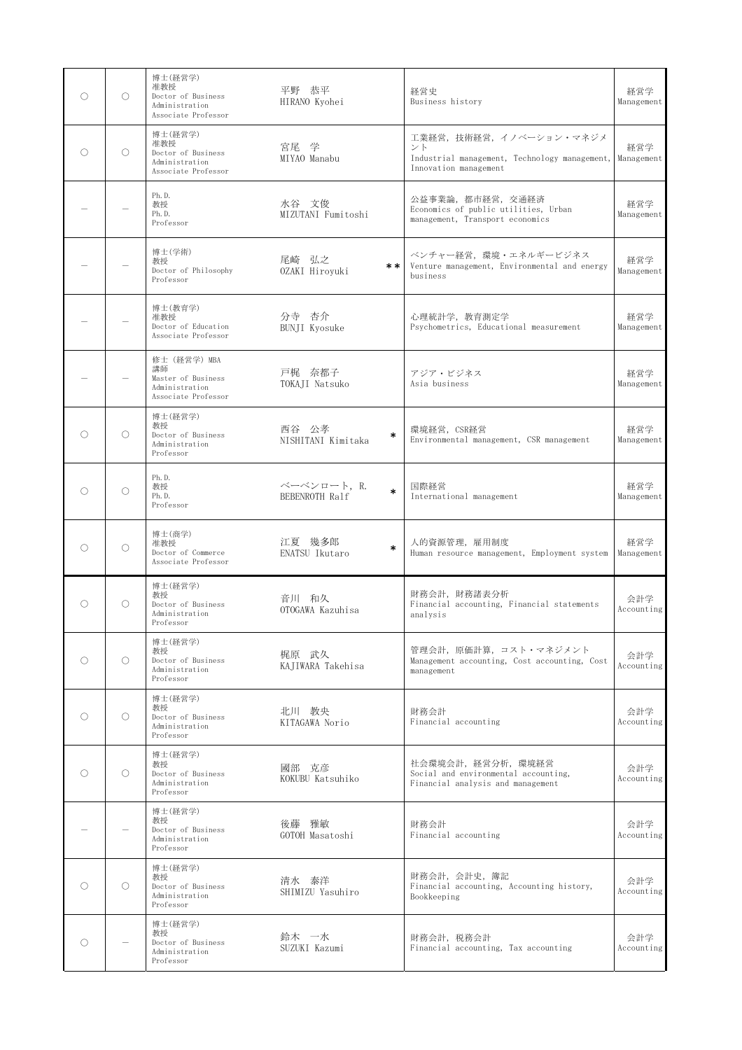| O | $\bigcirc$ | 博士(経営学)<br>准教授<br>Doctor of Business<br>Administration<br>Associate Professor     | 平野 恭平<br>HIRANO Kyohei                  | 経営史<br>Business history                                                                                           | 経営学<br>Management |
|---|------------|-----------------------------------------------------------------------------------|-----------------------------------------|-------------------------------------------------------------------------------------------------------------------|-------------------|
| ∩ | O          | 博士(経営学)<br>准教授<br>Doctor of Business<br>Administration<br>Associate Professor     | 宮尾 学<br>MIYAO Manabu                    | 工業経営,技術経営,イノベーション・マネジメ<br>ント<br>Industrial management, Technology management, Management<br>Innovation management | 経営学               |
|   |            | Ph.D.<br>教授<br>Ph.D.<br>Professor                                                 | 水谷 文俊<br>MIZUTANI Fumitoshi             | 公益事業論,都市経営,交通経済<br>Economics of public utilities, Urban<br>management, Transport economics                        | 経営学<br>Management |
|   |            | 博士(学術)<br>教授<br>Doctor of Philosophy<br>Professor                                 | 尾崎 弘之<br>$* *$<br>OZAKI Hiroyuki        | ベンチャー経営、環境・エネルギービジネス<br>Venture management, Environmental and energy<br>business                                  | 経営学<br>Management |
|   |            | 博士(教育学)<br>准教授<br>Doctor of Education<br>Associate Professor                      | 分寺 杏介<br><b>BUNJI Kyosuke</b>           | 心理統計学,教育測定学<br>Psychometrics, Educational measurement                                                             | 経営学<br>Management |
|   |            | 修士 (経営学) MBA<br>講師<br>Master of Business<br>Administration<br>Associate Professor | 戸梶 奈都子<br>TOKAII Natsuko                | アジア・ビジネス<br>Asia business                                                                                         | 経営学<br>Management |
| O | $\bigcirc$ | 博士(経営学)<br>教授<br>Doctor of Business<br>Administration<br>Professor                | 西谷 公孝<br>$\ast$<br>NISHITANI Kimitaka   | 環境経営, CSR経営<br>Environmental management, CSR management                                                           | 経営学<br>Management |
| O | O          | Ph.D.<br>教授<br>Ph.D.<br>Professor                                                 | ベーベンロート, R.<br>$\ast$<br>BEBENROTH Ralf | 国際経営<br>International management                                                                                  | 経営学<br>Management |
| O | O          | 博士(商学)<br>准教授<br>Doctor of Commerce<br>Associate Professor                        | 江夏 幾多郎<br>$\ast$<br>ENATSU Ikutaro      | 人的資源管理, 雇用制度<br>Human resource management, Employment system                                                      | 経営学<br>Management |
| O | O          | 博士(経営学)<br>教授<br>Doctor of Business<br>Administration<br>Professor                | 音川 和久<br>OTOGAWA Kazuhisa               | 財務会計, 財務諸表分析<br>Financial accounting, Financial statements<br>analysis                                            | 会計学<br>Accounting |
| ∩ | $\bigcirc$ | 博士(経営学)<br>教授<br>Doctor of Business<br>Administration<br>Professor                | 梶原 武久<br>KAJIWARA Takehisa              | 管理会計,原価計算,コスト・マネジメント<br>Management accounting, Cost accounting, Cost<br>management                                | 会計学<br>Accounting |
| O | $\bigcirc$ | 博士(経営学)<br>教授<br>Doctor of Business<br>Administration<br>Professor                | 北川 教央<br>KITAGAWA Norio                 | 財務会計<br>Financial accounting                                                                                      | 会計学<br>Accounting |
| 0 | O          | 博士(経営学)<br>教授<br>Doctor of Business<br>Administration<br>Professor                | 國部 克彦<br>KOKUBU Katsuhiko               | 社会環境会計, 経営分析, 環境経営<br>Social and environmental accounting,<br>Financial analysis and management                   | 会計学<br>Accounting |
|   |            | 博士(経営学)<br>教授<br>Doctor of Business<br>Administration<br>Professor                | 後藤 雅敏<br>GOTOH Masatoshi                | 財務会計<br>Financial accounting                                                                                      | 会計学<br>Accounting |
| Ω | O          | 博士(経営学)<br>教授<br>Doctor of Business<br>Administration<br>Professor                | 清水 泰洋<br>SHIMIZU Yasuhiro               | 財務会計, 会計史, 簿記<br>Financial accounting, Accounting history,<br>Bookkeeping                                         | 会計学<br>Accounting |
| O |            | 博士(経営学)<br>教授<br>Doctor of Business<br>Administration<br>Professor                | 鈴木 一水<br>SUZUKI Kazumi                  | 財務会計, 税務会計<br>Financial accounting, Tax accounting                                                                | 会計学<br>Accounting |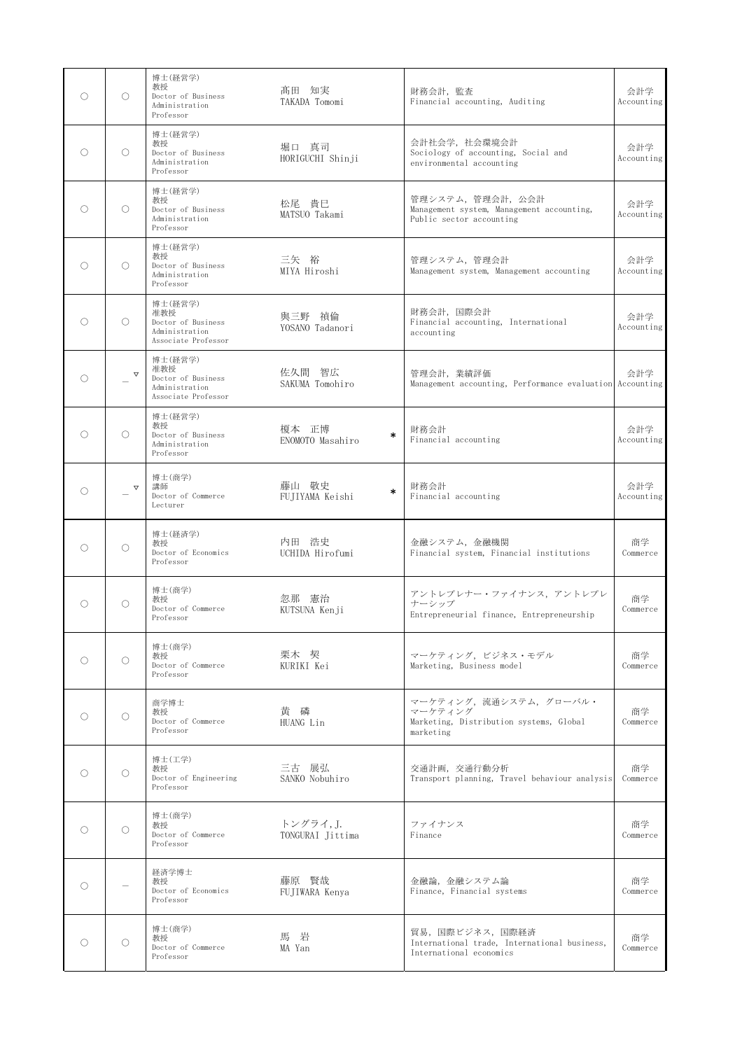| O | $\bigcirc$            | 博士(経営学)<br>教授<br>Doctor of Business<br>Administration<br>Professor            | 髙田 知実<br>TAKADA Tomomi              | 財務会計, 監査<br>Financial accounting, Auditing                                                | 会計学<br>Accounting |
|---|-----------------------|-------------------------------------------------------------------------------|-------------------------------------|-------------------------------------------------------------------------------------------|-------------------|
| ∩ | O                     | 博士(経営学)<br>教授<br>Doctor of Business<br>Administration<br>Professor            | 堀口 真司<br>HORIGUCHI Shinji           | 会計社会学, 社会環境会計<br>Sociology of accounting, Social and<br>environmental accounting          | 会計学<br>Accounting |
| O | $\bigcirc$            | 博士(経営学)<br>教授<br>Doctor of Business<br>Administration<br>Professor            | 松尾 貴巳<br>MATSUO Takami              | 管理システム、管理会計、公会計<br>Management system, Management accounting,<br>Public sector accounting  | 会計学<br>Accounting |
| ∩ | O                     | 博士(経営学)<br>教授<br>Doctor of Business<br>Administration<br>Professor            | 三矢 裕<br>MIYA Hiroshi                | 管理システム、管理会計<br>Management system, Management accounting                                   | 会計学<br>Accounting |
| O | $\bigcirc$            | 博士(経営学)<br>准教授<br>Doctor of Business<br>Administration<br>Associate Professor | 與三野 禎倫<br>YOSANO Tadanori           | 財務会計, 国際会計<br>Financial accounting, International<br>accounting                           | 会計学<br>Accounting |
| O | $\boldsymbol{\nabla}$ | 博士(経営学)<br>准教授<br>Doctor of Business<br>Administration<br>Associate Professor | 佐久間 智広<br>SAKUMA Tomohiro           | 管理会計, 業績評価<br>Management accounting, Performance evaluation Accounting                    | 会計学               |
| O | $\bigcirc$            | 博士(経営学)<br>教授<br>Doctor of Business<br>Administration<br>Professor            | 榎本 正博<br>$\ast$<br>ENOMOTO Masahiro | 財務会計<br>Financial accounting                                                              | 会計学<br>Accounting |
| O | $\triangledown$       | 博士(商学)<br>講師<br>Doctor of Commerce<br>Lecturer                                | 藤山 敬史<br>*<br>FUJIYAMA Keishi       | 財務会計<br>Financial accounting                                                              | 会計学<br>Accounting |
| ∩ | O                     | 博士(経済学)<br>教授<br>Doctor of Economics<br>Professor                             | 内田 浩史<br>UCHIDA Hirofumi            | 金融システム、金融機関<br>Financial system, Financial institutions                                   | 商学<br>Commerce    |
| ∩ | O                     | 博士(商学)<br>教授<br>Doctor of Commerce<br>Professor                               | 忽那 憲治<br>KUTSUNA Kenji              | アントレプレナー・ファイナンス、アントレプレ<br>ナーシップ<br>Entrepreneurial finance, Entrepreneurship              | 商学<br>Commerce    |
| ∩ | O                     | 博士(商学)<br>教授<br>Doctor of Commerce<br>Professor                               | 栗木 契<br>KURIKI Kei                  | マーケティング、ビジネス・モデル<br>Marketing, Business model                                             | 商学<br>Commerce    |
| O | O                     | 商学博士<br>教授<br>Doctor of Commerce<br>Professor                                 | 黄磷<br>HUANG Lin                     | マーケティング、流通システム、グローバル・<br>マーケティング<br>Marketing, Distribution systems, Global<br>marketing  | 商学<br>Commerce    |
| ∩ | O                     | 博士(工学)<br>教授<br>Doctor of Engineering<br>Professor                            | 三古 展弘<br>SANKO Nobuhiro             | 交通計画、交通行動分析<br>Transport planning, Travel behaviour analysis                              | 商学<br>Commerce    |
| O | $\circ$               | 博士(商学)<br>教授<br>Doctor of Commerce<br>Professor                               | トングライ, J.<br>TONGURAI Jittima       | ファイナンス<br>Finance                                                                         | 商学<br>Commerce    |
| ∩ |                       | 経済学博士<br>教授<br>Doctor of Economics<br>Professor                               | 藤原 賢哉<br>FUJIWARA Kenya             | 金融論、金融システム論<br>Finance, Financial systems                                                 | 商学<br>Commerce    |
| O | O                     | 博士(商学)<br>教授<br>Doctor of Commerce<br>Professor                               | 馬 岩<br>MA Yan                       | 貿易、国際ビジネス、国際経済<br>International trade, International business,<br>International economics | 商学<br>Commerce    |